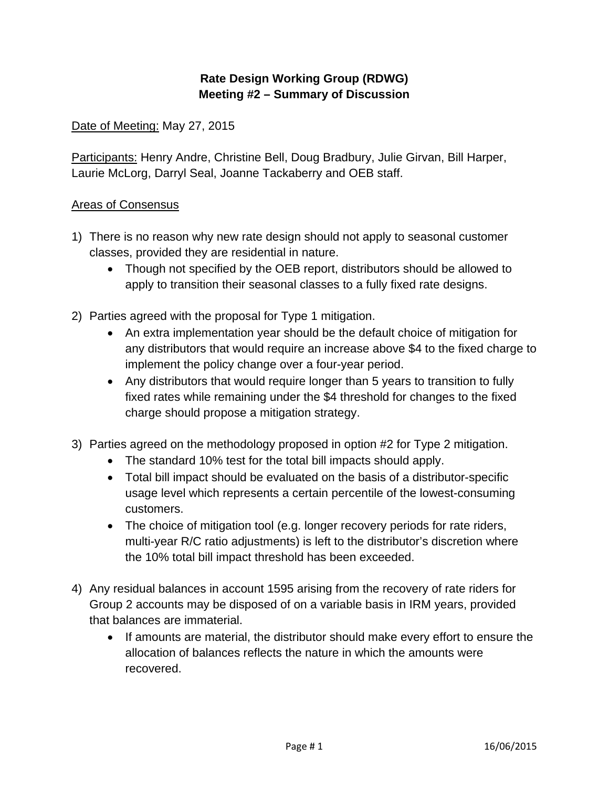# **Rate Design Working Group (RDWG) Meeting #2 – Summary of Discussion**

### Date of Meeting: May 27, 2015

Participants: Henry Andre, Christine Bell, Doug Bradbury, Julie Girvan, Bill Harper, Laurie McLorg, Darryl Seal, Joanne Tackaberry and OEB staff.

#### Areas of Consensus

- 1) There is no reason why new rate design should not apply to seasonal customer classes, provided they are residential in nature.
	- Though not specified by the OEB report, distributors should be allowed to apply to transition their seasonal classes to a fully fixed rate designs.
- 2) Parties agreed with the proposal for Type 1 mitigation.
	- An extra implementation year should be the default choice of mitigation for any distributors that would require an increase above \$4 to the fixed charge to implement the policy change over a four-year period.
	- Any distributors that would require longer than 5 years to transition to fully fixed rates while remaining under the \$4 threshold for changes to the fixed charge should propose a mitigation strategy.
- 3) Parties agreed on the methodology proposed in option #2 for Type 2 mitigation.
	- The standard 10% test for the total bill impacts should apply.
	- Total bill impact should be evaluated on the basis of a distributor-specific usage level which represents a certain percentile of the lowest-consuming customers.
	- The choice of mitigation tool (e.g. longer recovery periods for rate riders, multi-year R/C ratio adjustments) is left to the distributor's discretion where the 10% total bill impact threshold has been exceeded.
- 4) Any residual balances in account 1595 arising from the recovery of rate riders for Group 2 accounts may be disposed of on a variable basis in IRM years, provided that balances are immaterial.
	- If amounts are material, the distributor should make every effort to ensure the allocation of balances reflects the nature in which the amounts were recovered.